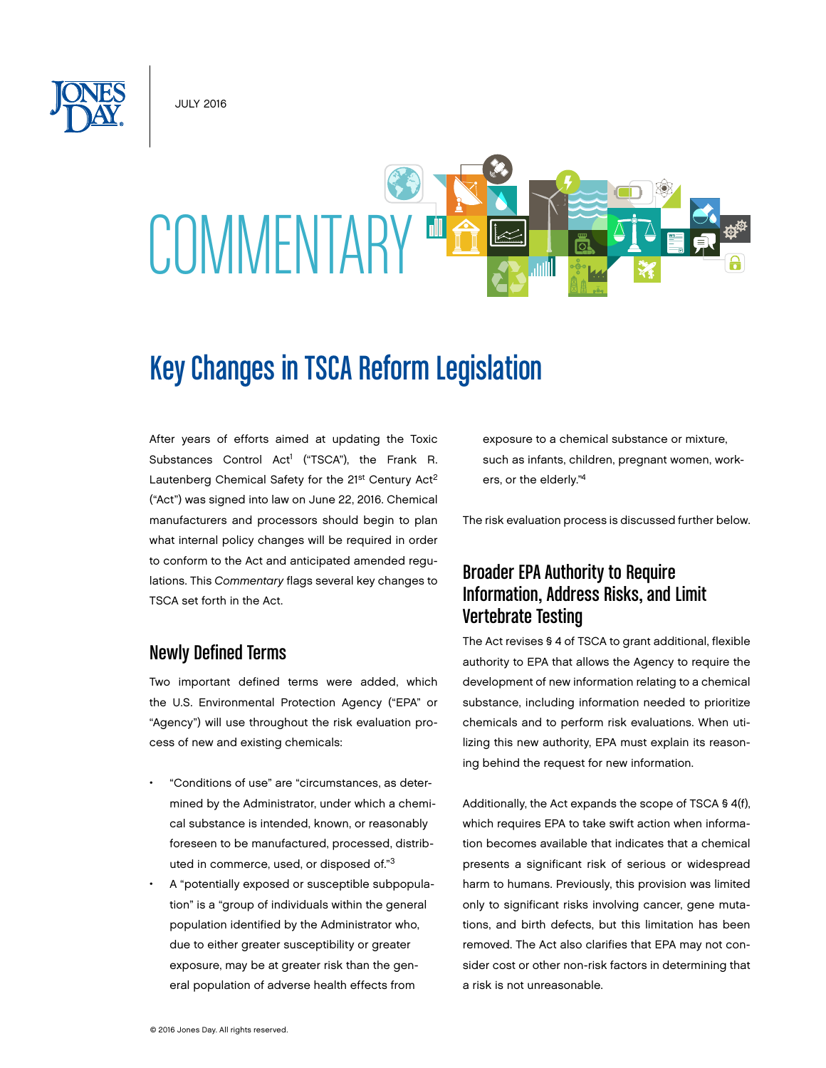July 2016



# Key Changes in TSCA Reform Legislation

After years of efforts aimed at updating the Toxic Substances Control Act<sup>1</sup> ("TSCA"), the Frank R. Lautenberg Chemical Safety for the 21<sup>st</sup> Century Act<sup>2</sup> ("Act") was signed into law on June 22, 2016. Chemical manufacturers and processors should begin to plan what internal policy changes will be required in order to conform to the Act and anticipated amended regulations. This *Commentary* flags several key changes to TSCA set forth in the Act.

#### Newly Defined Terms

Two important defined terms were added, which the U.S. Environmental Protection Agency ("EPA" or "Agency") will use throughout the risk evaluation process of new and existing chemicals:

- "Conditions of use" are "circumstances, as determined by the Administrator, under which a chemical substance is intended, known, or reasonably foreseen to be manufactured, processed, distributed in commerce, used, or disposed of."3
- A "potentially exposed or susceptible subpopulation" is a "group of individuals within the general population identified by the Administrator who, due to either greater susceptibility or greater exposure, may be at greater risk than the general population of adverse health effects from

exposure to a chemical substance or mixture, such as infants, children, pregnant women, workers, or the elderly."4

The risk evaluation process is discussed further below.

# Broader EPA Authority to Require Information, Address Risks, and Limit Vertebrate Testing

The Act revises § 4 of TSCA to grant additional, flexible authority to EPA that allows the Agency to require the development of new information relating to a chemical substance, including information needed to prioritize chemicals and to perform risk evaluations. When utilizing this new authority, EPA must explain its reasoning behind the request for new information.

Additionally, the Act expands the scope of TSCA § 4(f), which requires EPA to take swift action when information becomes available that indicates that a chemical presents a significant risk of serious or widespread harm to humans. Previously, this provision was limited only to significant risks involving cancer, gene mutations, and birth defects, but this limitation has been removed. The Act also clarifies that EPA may not consider cost or other non-risk factors in determining that a risk is not unreasonable.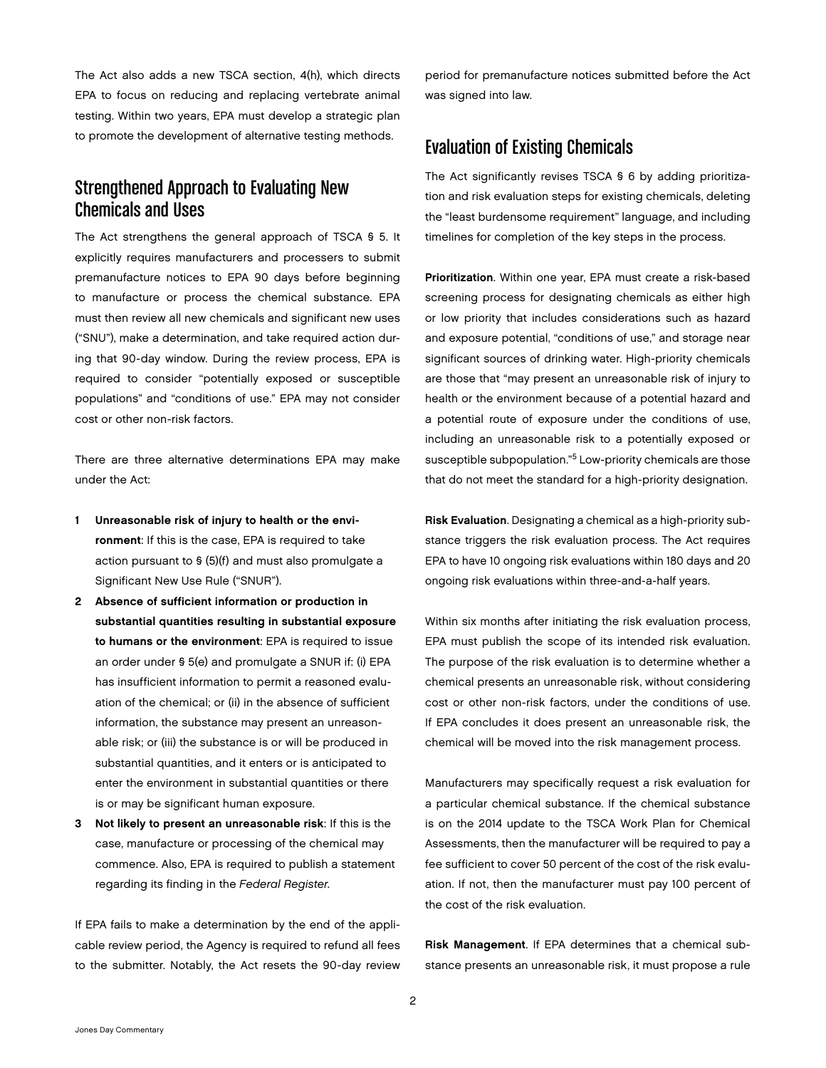The Act also adds a new TSCA section, 4(h), which directs EPA to focus on reducing and replacing vertebrate animal testing. Within two years, EPA must develop a strategic plan to promote the development of alternative testing methods.

## Strengthened Approach to Evaluating New Chemicals and Uses

The Act strengthens the general approach of TSCA § 5. It explicitly requires manufacturers and processers to submit premanufacture notices to EPA 90 days before beginning to manufacture or process the chemical substance. EPA must then review all new chemicals and significant new uses ("SNU"), make a determination, and take required action during that 90-day window. During the review process, EPA is required to consider "potentially exposed or susceptible populations" and "conditions of use." EPA may not consider cost or other non-risk factors.

There are three alternative determinations EPA may make under the Act:

- 1 Unreasonable risk of injury to health or the environment: If this is the case, EPA is required to take action pursuant to § (5)(f) and must also promulgate a Significant New Use Rule ("SNUR").
- 2 Absence of sufficient information or production in substantial quantities resulting in substantial exposure to humans or the environment: EPA is required to issue an order under § 5(e) and promulgate a SNUR if: (i) EPA has insufficient information to permit a reasoned evaluation of the chemical; or (ii) in the absence of sufficient information, the substance may present an unreasonable risk; or (iii) the substance is or will be produced in substantial quantities, and it enters or is anticipated to enter the environment in substantial quantities or there is or may be significant human exposure.
- 3 Not likely to present an unreasonable risk: If this is the case, manufacture or processing of the chemical may commence. Also, EPA is required to publish a statement regarding its finding in the *Federal Register*.

If EPA fails to make a determination by the end of the applicable review period, the Agency is required to refund all fees to the submitter. Notably, the Act resets the 90-day review

period for premanufacture notices submitted before the Act was signed into law.

#### Evaluation of Existing Chemicals

The Act significantly revises TSCA § 6 by adding prioritization and risk evaluation steps for existing chemicals, deleting the "least burdensome requirement" language, and including timelines for completion of the key steps in the process.

Prioritization. Within one year, EPA must create a risk-based screening process for designating chemicals as either high or low priority that includes considerations such as hazard and exposure potential, "conditions of use," and storage near significant sources of drinking water. High-priority chemicals are those that "may present an unreasonable risk of injury to health or the environment because of a potential hazard and a potential route of exposure under the conditions of use, including an unreasonable risk to a potentially exposed or susceptible subpopulation."5 Low-priority chemicals are those that do not meet the standard for a high-priority designation.

Risk Evaluation. Designating a chemical as a high-priority substance triggers the risk evaluation process. The Act requires EPA to have 10 ongoing risk evaluations within 180 days and 20 ongoing risk evaluations within three-and-a-half years.

Within six months after initiating the risk evaluation process, EPA must publish the scope of its intended risk evaluation. The purpose of the risk evaluation is to determine whether a chemical presents an unreasonable risk, without considering cost or other non-risk factors, under the conditions of use. If EPA concludes it does present an unreasonable risk, the chemical will be moved into the risk management process.

Manufacturers may specifically request a risk evaluation for a particular chemical substance. If the chemical substance is on the 2014 update to the TSCA Work Plan for Chemical Assessments, then the manufacturer will be required to pay a fee sufficient to cover 50 percent of the cost of the risk evaluation. If not, then the manufacturer must pay 100 percent of the cost of the risk evaluation.

Risk Management. If EPA determines that a chemical substance presents an unreasonable risk, it must propose a rule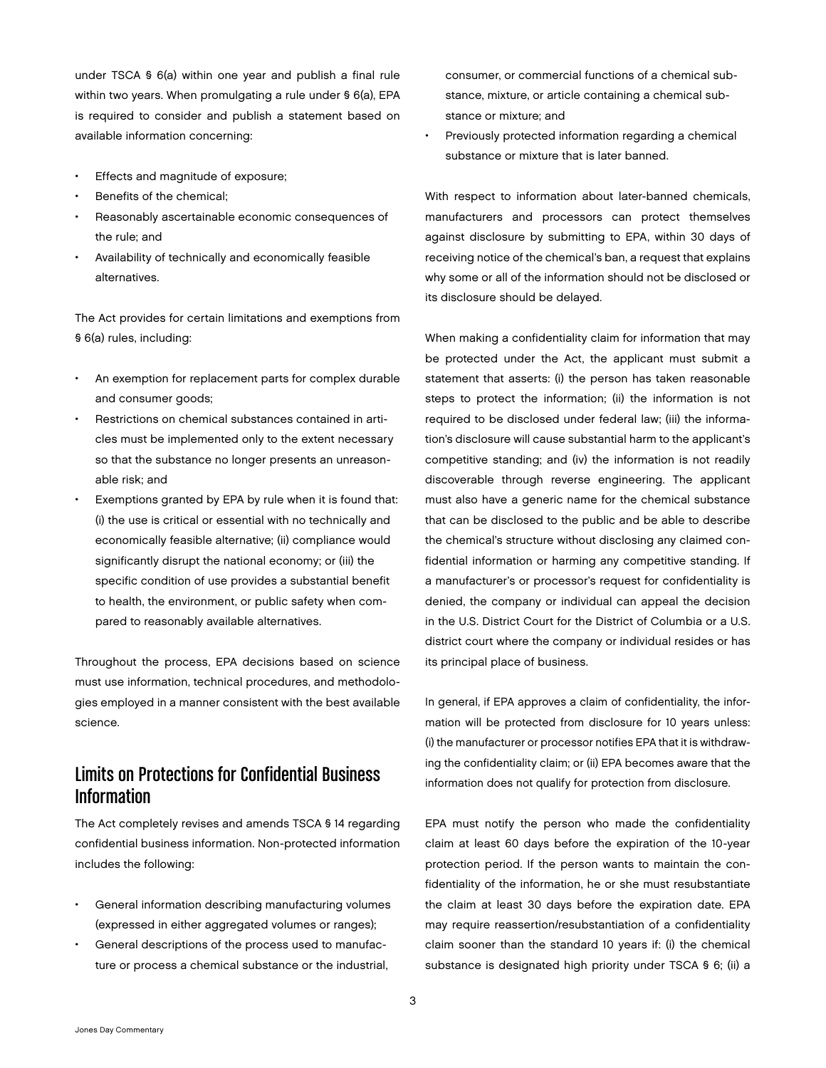under TSCA § 6(a) within one year and publish a final rule within two years. When promulgating a rule under § 6(a), EPA is required to consider and publish a statement based on available information concerning:

- Effects and magnitude of exposure;
- Benefits of the chemical:
- Reasonably ascertainable economic consequences of the rule; and
- Availability of technically and economically feasible alternatives.

The Act provides for certain limitations and exemptions from § 6(a) rules, including:

- An exemption for replacement parts for complex durable and consumer goods;
- Restrictions on chemical substances contained in articles must be implemented only to the extent necessary so that the substance no longer presents an unreasonable risk; and
- Exemptions granted by EPA by rule when it is found that: (i) the use is critical or essential with no technically and economically feasible alternative; (ii) compliance would significantly disrupt the national economy; or (iii) the specific condition of use provides a substantial benefit to health, the environment, or public safety when compared to reasonably available alternatives.

Throughout the process, EPA decisions based on science must use information, technical procedures, and methodologies employed in a manner consistent with the best available science.

# Limits on Protections for Confidential Business Information

The Act completely revises and amends TSCA § 14 regarding confidential business information. Non-protected information includes the following:

- General information describing manufacturing volumes (expressed in either aggregated volumes or ranges);
- General descriptions of the process used to manufacture or process a chemical substance or the industrial,

consumer, or commercial functions of a chemical substance, mixture, or article containing a chemical substance or mixture; and

Previously protected information regarding a chemical substance or mixture that is later banned.

With respect to information about later-banned chemicals, manufacturers and processors can protect themselves against disclosure by submitting to EPA, within 30 days of receiving notice of the chemical's ban, a request that explains why some or all of the information should not be disclosed or its disclosure should be delayed.

When making a confidentiality claim for information that may be protected under the Act, the applicant must submit a statement that asserts: (i) the person has taken reasonable steps to protect the information; (ii) the information is not required to be disclosed under federal law; (iii) the information's disclosure will cause substantial harm to the applicant's competitive standing; and (iv) the information is not readily discoverable through reverse engineering. The applicant must also have a generic name for the chemical substance that can be disclosed to the public and be able to describe the chemical's structure without disclosing any claimed confidential information or harming any competitive standing. If a manufacturer's or processor's request for confidentiality is denied, the company or individual can appeal the decision in the U.S. District Court for the District of Columbia or a U.S. district court where the company or individual resides or has its principal place of business.

In general, if EPA approves a claim of confidentiality, the information will be protected from disclosure for 10 years unless: (i) the manufacturer or processor notifies EPA that it is withdrawing the confidentiality claim; or (ii) EPA becomes aware that the information does not qualify for protection from disclosure.

EPA must notify the person who made the confidentiality claim at least 60 days before the expiration of the 10-year protection period. If the person wants to maintain the confidentiality of the information, he or she must resubstantiate the claim at least 30 days before the expiration date. EPA may require reassertion/resubstantiation of a confidentiality claim sooner than the standard 10 years if: (i) the chemical substance is designated high priority under TSCA § 6; (ii) a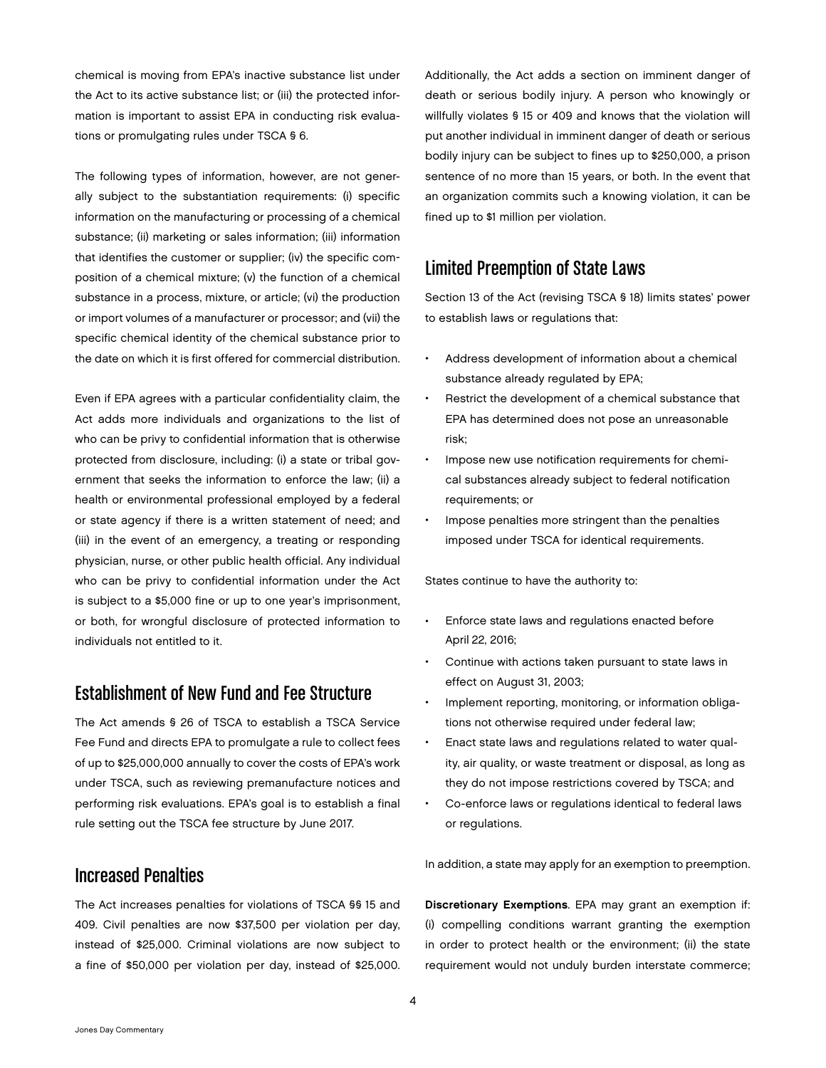chemical is moving from EPA's inactive substance list under the Act to its active substance list; or (iii) the protected information is important to assist EPA in conducting risk evaluations or promulgating rules under TSCA § 6.

The following types of information, however, are not generally subject to the substantiation requirements: (i) specific information on the manufacturing or processing of a chemical substance; (ii) marketing or sales information; (iii) information that identifies the customer or supplier; (iv) the specific composition of a chemical mixture; (v) the function of a chemical substance in a process, mixture, or article; (vi) the production or import volumes of a manufacturer or processor; and (vii) the specific chemical identity of the chemical substance prior to the date on which it is first offered for commercial distribution.

Even if EPA agrees with a particular confidentiality claim, the Act adds more individuals and organizations to the list of who can be privy to confidential information that is otherwise protected from disclosure, including: (i) a state or tribal government that seeks the information to enforce the law; (ii) a health or environmental professional employed by a federal or state agency if there is a written statement of need; and (iii) in the event of an emergency, a treating or responding physician, nurse, or other public health official. Any individual who can be privy to confidential information under the Act is subject to a \$5,000 fine or up to one year's imprisonment, or both, for wrongful disclosure of protected information to individuals not entitled to it.

### Establishment of New Fund and Fee Structure

The Act amends § 26 of TSCA to establish a TSCA Service Fee Fund and directs EPA to promulgate a rule to collect fees of up to \$25,000,000 annually to cover the costs of EPA's work under TSCA, such as reviewing premanufacture notices and performing risk evaluations. EPA's goal is to establish a final rule setting out the TSCA fee structure by June 2017.

#### Increased Penalties

The Act increases penalties for violations of TSCA §§ 15 and 409. Civil penalties are now \$37,500 per violation per day, instead of \$25,000. Criminal violations are now subject to a fine of \$50,000 per violation per day, instead of \$25,000. Additionally, the Act adds a section on imminent danger of death or serious bodily injury. A person who knowingly or willfully violates § 15 or 409 and knows that the violation will put another individual in imminent danger of death or serious bodily injury can be subject to fines up to \$250,000, a prison sentence of no more than 15 years, or both. In the event that an organization commits such a knowing violation, it can be fined up to \$1 million per violation.

# Limited Preemption of State Laws

Section 13 of the Act (revising TSCA § 18) limits states' power to establish laws or regulations that:

- Address development of information about a chemical substance already regulated by EPA;
- Restrict the development of a chemical substance that EPA has determined does not pose an unreasonable risk;
- Impose new use notification requirements for chemical substances already subject to federal notification requirements; or
- Impose penalties more stringent than the penalties imposed under TSCA for identical requirements.

States continue to have the authority to:

- Enforce state laws and regulations enacted before April 22, 2016;
- Continue with actions taken pursuant to state laws in effect on August 31, 2003;
- Implement reporting, monitoring, or information obligations not otherwise required under federal law;
- Enact state laws and regulations related to water quality, air quality, or waste treatment or disposal, as long as they do not impose restrictions covered by TSCA; and
- Co-enforce laws or regulations identical to federal laws or regulations.

In addition, a state may apply for an exemption to preemption.

Discretionary Exemptions. EPA may grant an exemption if: (i) compelling conditions warrant granting the exemption in order to protect health or the environment; (ii) the state requirement would not unduly burden interstate commerce;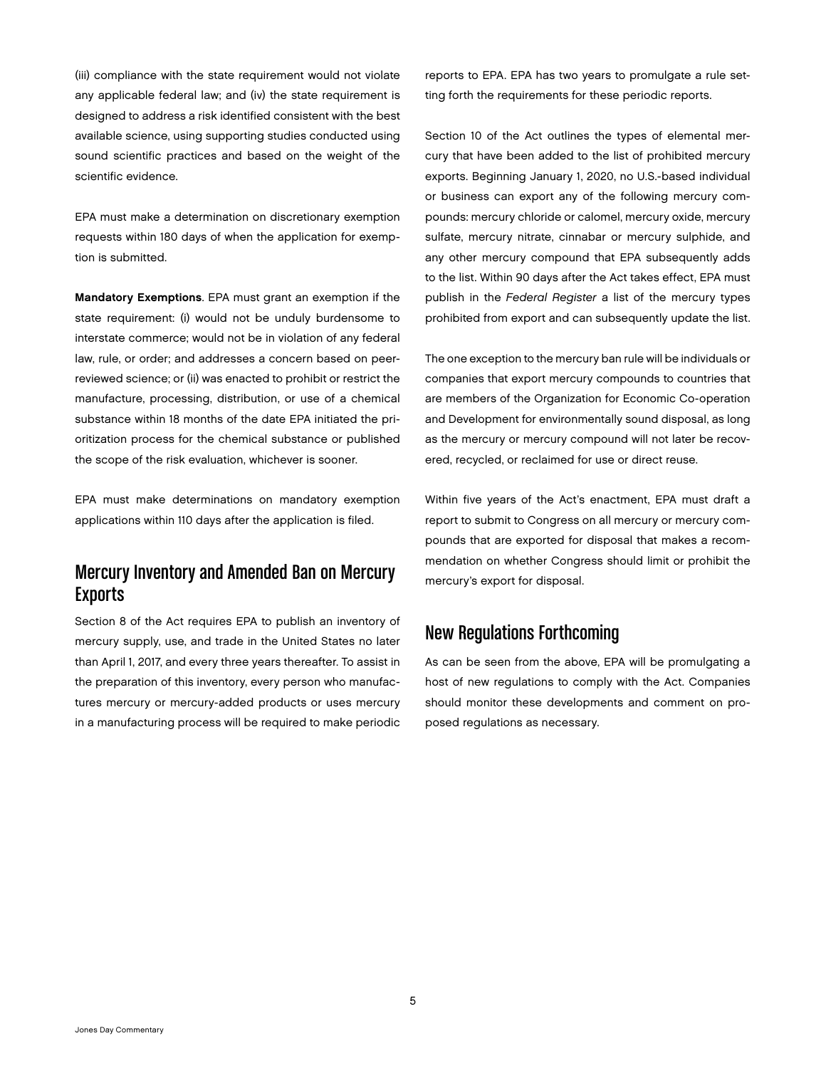(iii) compliance with the state requirement would not violate any applicable federal law; and (iv) the state requirement is designed to address a risk identified consistent with the best available science, using supporting studies conducted using sound scientific practices and based on the weight of the scientific evidence.

EPA must make a determination on discretionary exemption requests within 180 days of when the application for exemption is submitted.

Mandatory Exemptions. EPA must grant an exemption if the state requirement: (i) would not be unduly burdensome to interstate commerce; would not be in violation of any federal law, rule, or order; and addresses a concern based on peerreviewed science; or (ii) was enacted to prohibit or restrict the manufacture, processing, distribution, or use of a chemical substance within 18 months of the date EPA initiated the prioritization process for the chemical substance or published the scope of the risk evaluation, whichever is sooner.

EPA must make determinations on mandatory exemption applications within 110 days after the application is filed.

# Mercury Inventory and Amended Ban on Mercury **Exports**

Section 8 of the Act requires EPA to publish an inventory of mercury supply, use, and trade in the United States no later than April 1, 2017, and every three years thereafter. To assist in the preparation of this inventory, every person who manufactures mercury or mercury-added products or uses mercury in a manufacturing process will be required to make periodic

reports to EPA. EPA has two years to promulgate a rule setting forth the requirements for these periodic reports.

Section 10 of the Act outlines the types of elemental mercury that have been added to the list of prohibited mercury exports. Beginning January 1, 2020, no U.S.-based individual or business can export any of the following mercury compounds: mercury chloride or calomel, mercury oxide, mercury sulfate, mercury nitrate, cinnabar or mercury sulphide, and any other mercury compound that EPA subsequently adds to the list. Within 90 days after the Act takes effect, EPA must publish in the *Federal Register* a list of the mercury types prohibited from export and can subsequently update the list.

The one exception to the mercury ban rule will be individuals or companies that export mercury compounds to countries that are members of the Organization for Economic Co-operation and Development for environmentally sound disposal, as long as the mercury or mercury compound will not later be recovered, recycled, or reclaimed for use or direct reuse.

Within five years of the Act's enactment, EPA must draft a report to submit to Congress on all mercury or mercury compounds that are exported for disposal that makes a recommendation on whether Congress should limit or prohibit the mercury's export for disposal.

#### New Regulations Forthcoming

As can be seen from the above, EPA will be promulgating a host of new regulations to comply with the Act. Companies should monitor these developments and comment on proposed regulations as necessary.